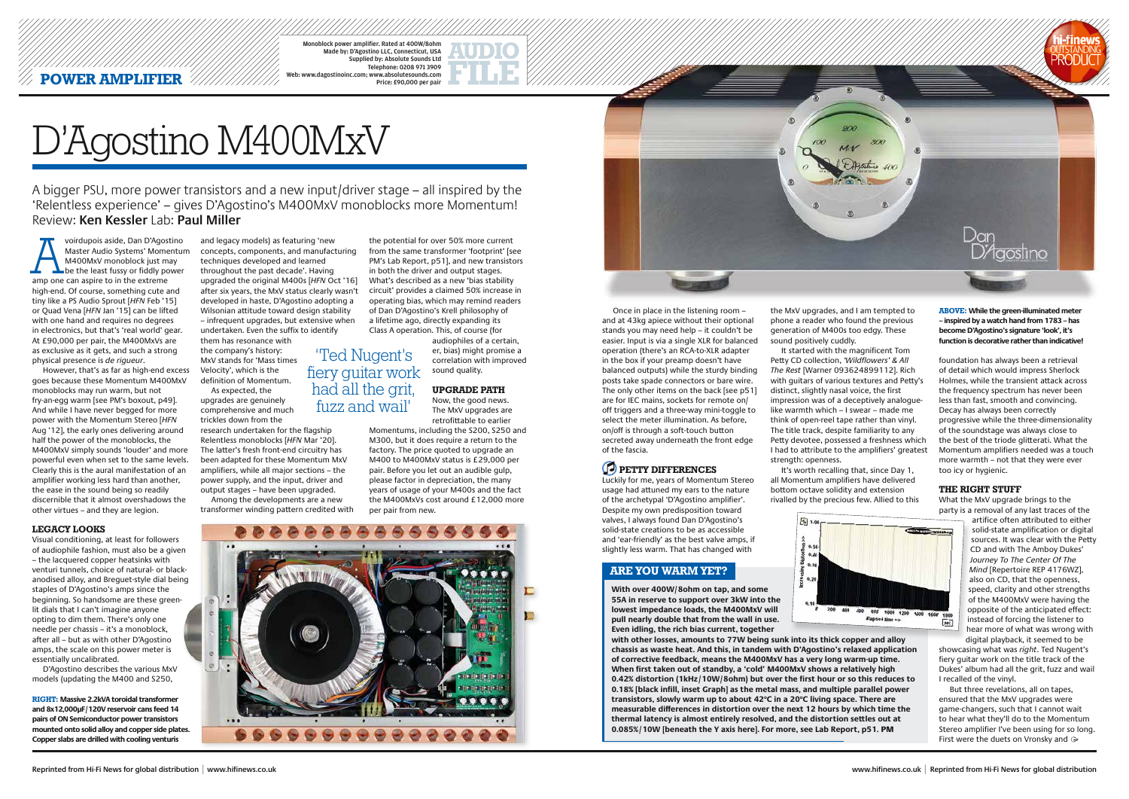Monoblock power amplifier. Rated at 400W/8ohm Made by: D'Agostino LLC, Connecticut, USA Supplied by: Absolute Sounds Ltd Telephone: 0208 971 3909 Web: www.dagostinoinc.com; www.absolutesounds.com Price: £90,000 per pair

A bigger PSU, more power transistors and a new input/driver stage – all inspired by the 'Relentless experience' – gives D'Agostino's M400MxV monoblocks more Momentum! Review: **Ken Kessler** Lab: **Paul Miller**

Voirdupois aside, Dan D'Agostino<br>
Master Audio Systems' Momentur<br>
M400MxV monoblock just may<br>
be the least fussy or fiddly power<br>
amp one can aspire to in the extreme Master Audio Systems' Momentum M400MxV monoblock just may **L** be the least fussy or fiddly power high-end. Of course, something cute and tiny like a PS Audio Sprout [*HFN* Feb '15] or Quad Vena [*HFN* Jan '15] can be lifted with one hand and requires no degrees in electronics, but that's 'real world' gear. At £90,000 per pair, the M400MxVs are as exclusive as it gets, and such a strong physical presence is *de rigueur*.

# D'Agostino M400MxV

However, that's as far as high-end excess goes because these Momentum M400MxV monoblocks may run warm, but not fry-an-egg warm [see PM's boxout, p49]. And while I have never begged for more power with the Momentum Stereo [*HFN* Aug '12], the early ones delivering around half the power of the monoblocks, the M400MxV simply sounds 'louder' and more powerful even when set to the same levels. Clearly this is the aural manifestation of an amplifier working less hard than another, the ease in the sound being so readily discernible that it almost overshadows the other virtues – and they are legion.

#### **Legacy looks**

Visual conditioning, at least for followers of audiophile fashion, must also be a given – the lacquered copper heatsinks with venturi tunnels, choice of natural- or blackanodised alloy, and Breguet-style dial being staples of D'Agostino's amps since the beginning. So handsome are these greenlit dials that I can't imagine anyone opting to dim them. There's only one needle per chassis – it's a monoblock, after all – but as with other D'Agostino amps, the scale on this power meter is essentially uncalibrated.

D'Agostino describes the various MxV models (updating the M400 and S250,



Once in place in the listening room – and at 43kg apiece without their optional stands you may need help – it couldn't be easier. Input is via a single XLR for balanced operation (there's an RCA-to-XLR adapter in the box if your preamp doesn't have balanced outputs) while the sturdy binding posts take spade connectors or bare wire. The only other items on the back [see p51] are for IEC mains, sockets for remote on/ off triggers and a three-way mini-toggle to select the meter illumination. As before, on/off is through a soft-touch button secreted away underneath the front edge of the fascia.

# **PETTY DIFFERENCES**

Luckily for me, years of Momentum Stereo usage had attuned my ears to the nature of the archetypal 'D'Agostino amplifier'. Despite my own predisposition toward valves, I always found Dan D'Agostino's solid-state creations to be as accessible and 'ear-friendly' as the best valve amps, if slightly less warm. That has changed with

and legacy models) as featuring 'new concepts, components, and manufacturing techniques developed and learned throughout the past decade'. Having upgraded the original M400s [*HFN* Oct '16] after six years, the MxV status clearly wasn't developed in haste, D'Agostino adopting a Wilsonian attitude toward design stability – infrequent upgrades, but extensive when undertaken. Even the suffix to identify

> But three revelations, all on tapes, ensured that the MxV upgrades were game-changers, such that I cannot wait to hear what they'll do to the Momentum Stereo amplifier I've been using for so long. First were the duets on Vronsky and  $\ominus$

them has resonance with the company's history: MxV stands for 'Mass times Velocity', which is the definition of Momentum.

As expected, the upgrades are genuinely comprehensive and much trickles down from the

research undertaken for the flagship Relentless monoblocks [*HFN* Mar '20]. The latter's fresh front-end circuitry has been adapted for these Momentum MxV amplifiers, while all major sections – the power supply, and the input, driver and output stages – have been upgraded.

Among the developments are a new transformer winding pattern credited with

the potential for over 50% more current from the same transformer 'footprint' [see PM's Lab Report, p51], and new transistors in both the driver and output stages. What's described as a new 'bias stability circuit' provides a claimed 50% increase in operating bias, which may remind readers of Dan D'Agostino's Krell philosophy of a lifetime ago, directly expanding its Class A operation. This, of course (for audiophiles of a certain,

er, bias) might promise a correlation with improved sound quality.

## **Upgrade path**

Now, the good news. The MxV upgrades are retrofittable to earlier Momentums, including the S200, S250 and

M300, but it does require a return to the factory. The price quoted to upgrade an M400 to M400MxV status is £29,000 per pair. Before you let out an audible gulp, please factor in depreciation, the many years of usage of your M400s and the fact the M400MxVs cost around £12,000 more per pair from new.



the MxV upgrades, and I am tempted to phone a reader who found the previous generation of M400s too edgy. These sound positively cuddly.

It started with the magnificent Tom Petty CD collection, 'Wildflowers' & All The Rest [Warner 093624899112]. Rich with guitars of various textures and Petty's distinct, slightly nasal voice, the first impression was of a deceptively analoguelike warmth which – I swear – made me think of open-reel tape rather than vinyl. The title track, despite familiarity to any Petty devotee, possessed a freshness which I had to attribute to the amplifiers' greatest strength: openness.

It's worth recalling that, since Day 1, all Momentum amplifiers have delivered bottom octave solidity and extension rivalled by the precious few. Allied to this



foundation has always been a retrieval of detail which would impress Sherlock Holmes, while the transient attack across the frequency spectrum has never been less than fast, smooth and convincing. Decay has always been correctly progressive while the three-dimensionality of the soundstage was always close to the best of the triode glitterati. What the Momentum amplifiers needed was a touch more warmth – not that they were ever too icy or hygienic.

#### **the right stuff**

What the MxV upgrade brings to the party is a removal of any last traces of the

800 1000 1200 1400 1600 Elapsed time >>  $30<$ 

artifice often attributed to either solid-state amplification or digital sources. It was clear with the Petty CD and with The Amboy Dukes' Journey To The Center Of The Mind [Repertoire REP 4176WZ], also on CD, that the openness, speed, clarity and other strengths of the M400MxV were having the opposite of the anticipated effect: instead of forcing the listener to hear more of what was wrong with digital playback, it seemed to be

showcasing what was right. Ted Nugent's fiery guitar work on the title track of the Dukes' album had all the grit, fuzz and wail I recalled of the vinyl.

'Ted Nugent's fiery guitar work had all the grit, fuzz and wail'



**With over 400W/8ohm on tap, and some 55A in reserve to support over 3kW into the lowest impedance loads, the M400MxV will pull nearly double that from the wall in use. Even idling, the rich bias current, together** 

**with other losses, amounts to 77W being sunk into its thick copper and alloy chassis as waste heat. And this, in tandem with D'Agostino's relaxed application of corrective feedback, means the M400MxV has a very long warm-up time. When first taken out of standby, a 'cold' M400MxV shows a relatively high 0.42% distortion (1kHz/10W/8ohm) but over the first hour or so this reduces to 0.18% [black infill, inset Graph] as the metal mass, and multiple parallel power**  transistors, slowly warm up to about 42°C in a 20°C living space. There are **measurable differences in distortion over the next 12 hours by which time the thermal latency is almost entirely resolved, and the distortion settles out at 0.085%/10W [beneath the Y axis here]. For more, see Lab Report, p51.** PM

## **ARE YOU WARM YET?**

**RIGHT: Massive 2.2kVA toroidal transformer and 8x12,000µF/120V reservoir cans feed 14 pairs of ON Semiconductor power transistors mounted onto solid alloy and copper side plates. Copper slabs are drilled with cooling venturis**